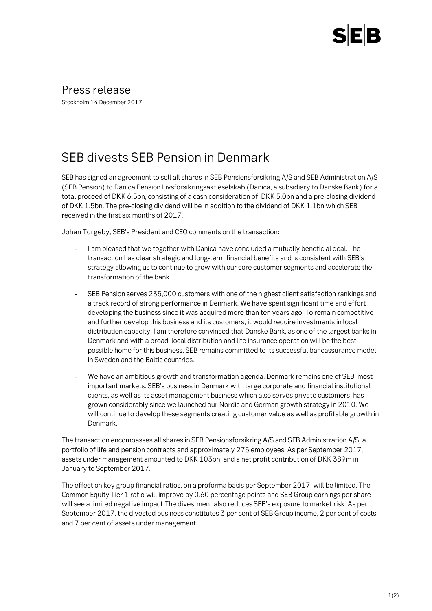

Press release Stockholm 14 December 2017

## SEB divests SEB Pension in Denmark

SEB has signed an agreement to sell all shares in SEB Pensionsforsikring A/S and SEB Administration A/S (SEB Pension) to Danica Pension Livsforsikringsaktieselskab (Danica, a subsidiary to Danske Bank) for a total proceed of DKK 6.5bn, consisting of a cash consideration of DKK 5.0bn and a pre-closing dividend of DKK 1.5bn. The pre-closing dividend will be in addition to the dividend of DKK 1.1bn which SEB received in the first six months of 2017.

Johan Torgeby, SEB's President and CEO comments on the transaction:

- I am pleased that we together with Danica have concluded a mutually beneficial deal. The transaction has clear strategic and long-term financial benefits and is consistent with SEB's strategy allowing us to continue to grow with our core customer segments and accelerate the transformation of the bank.
- SEB Pension serves 235,000 customers with one of the highest client satisfaction rankings and a track record of strong performance in Denmark. We have spent significant time and effort developing the business since it was acquired more than ten years ago. To remain competitive and further develop this business and its customers, it would require investments in local distribution capacity. I am therefore convinced that Danske Bank, as one of the largest banks in Denmark and with a broad local distribution and life insurance operation will be the best possible home for this business. SEB remains committed to its successful bancassurance model in Sweden and the Baltic countries.
- We have an ambitious growth and transformation agenda. Denmark remains one of SEB' most important markets. SEB's business in Denmark with large corporate and financial institutional clients, as well as its asset management business which also serves private customers, has grown considerably since we launched our Nordic and German growth strategy in 2010. We will continue to develop these segments creating customer value as well as profitable growth in Denmark.

The transaction encompasses all shares in SEB Pensionsforsikring A/S and SEB Administration A/S, a portfolio of life and pension contracts and approximately 275 employees. As per September 2017, assets under management amounted to DKK 103bn, and a net profit contribution of DKK 389m in January to September 2017.

The effect on key group financial ratios, on a proforma basis per September 2017, will be limited. The Common Equity Tier 1 ratio will improve by 0.60 percentage points and SEB Group earnings per share will see a limited negative impact.The divestment also reduces SEB's exposure to market risk. As per September 2017, the divested business constitutes 3 per cent of SEB Group income, 2 per cent of costs and 7 per cent of assets under management.